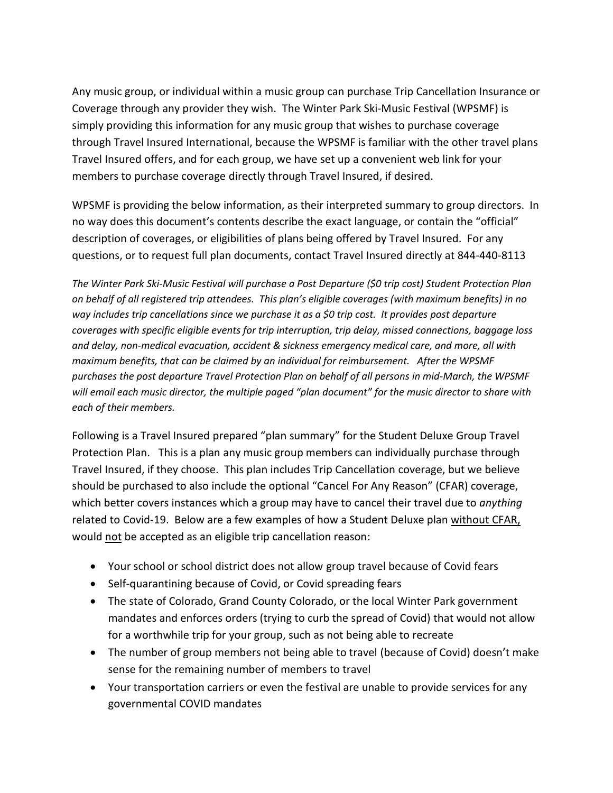Any music group, or individual within a music group can purchase Trip Cancellation Insurance or Coverage through any provider they wish. The Winter Park Ski-Music Festival (WPSMF) is simply providing this information for any music group that wishes to purchase coverage through Travel Insured International, because the WPSMF is familiar with the other travel plans Travel Insured offers, and for each group, we have set up a convenient web link for your members to purchase coverage directly through Travel Insured, if desired.

WPSMF is providing the below information, as their interpreted summary to group directors. In no way does this document's contents describe the exact language, or contain the "official" description of coverages, or eligibilities of plans being offered by Travel Insured. For any questions, or to request full plan documents, contact Travel Insured directly at 844-440-8113

*The Winter Park Ski-Music Festival will purchase a Post Departure (\$0 trip cost) Student Protection Plan on behalf of all registered trip attendees. This plan's eligible coverages (with maximum benefits) in no way includes trip cancellations since we purchase it as a \$0 trip cost. It provides post departure coverages with specific eligible events for trip interruption, trip delay, missed connections, baggage loss and delay, non-medical evacuation, accident & sickness emergency medical care, and more, all with maximum benefits, that can be claimed by an individual for reimbursement. After the WPSMF purchases the post departure Travel Protection Plan on behalf of all persons in mid-March, the WPSMF will email each music director, the multiple paged "plan document" for the music director to share with each of their members.*

Following is a Travel Insured prepared "plan summary" for the Student Deluxe Group Travel Protection Plan. This is a plan any music group members can individually purchase through Travel Insured, if they choose. This plan includes Trip Cancellation coverage, but we believe should be purchased to also include the optional "Cancel For Any Reason" (CFAR) coverage, which better covers instances which a group may have to cancel their travel due to *anything* related to Covid-19. Below are a few examples of how a Student Deluxe plan without CFAR, would not be accepted as an eligible trip cancellation reason:

- Your school or school district does not allow group travel because of Covid fears
- Self-quarantining because of Covid, or Covid spreading fears
- The state of Colorado, Grand County Colorado, or the local Winter Park government mandates and enforces orders (trying to curb the spread of Covid) that would not allow for a worthwhile trip for your group, such as not being able to recreate
- The number of group members not being able to travel (because of Covid) doesn't make sense for the remaining number of members to travel
- Your transportation carriers or even the festival are unable to provide services for any governmental COVID mandates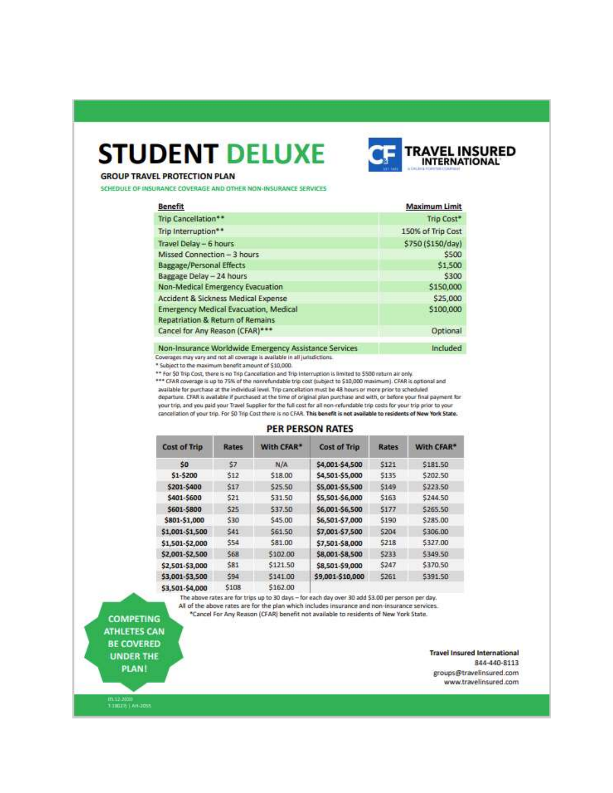# **STUDENT DELUXE**



#### **GROUP TRAVEL PROTECTION PLAN**

SCHEDULE OF INSURANCE COVERAGE AND OTHER NON-INSURANCE SERVICES

| <b>Benefit</b>                                        | <b>Maximum Limit</b> |
|-------------------------------------------------------|----------------------|
| Trip Cancellation**                                   | Trip Cost*           |
| Trip Interruption**                                   | 150% of Trip Cost    |
| Travel Delay - 6 hours                                | \$750 (\$150/day)    |
| Missed Connection - 3 hours                           | \$500                |
| <b>Baggage/Personal Effects</b>                       | \$1,500              |
| Baggage Delay - 24 hours                              | \$300                |
| Non-Medical Emergency Evacuation                      | \$150,000            |
| Accident & Sickness Medical Expense                   | \$25,000             |
| <b>Emergency Medical Evacuation, Medical</b>          | \$100,000            |
| Repatriation & Return of Remains                      |                      |
| Cancel for Any Reason (CFAR)***                       | Optional             |
| Non-Insurance Worldwide Emergency Assistance Services | Included             |

Non-Insurance Worldwide Emergency Assistance Services

Coverages may vary and not all coverage is available in all jurisdictions. \* Subject to the maximum benefit amount of \$10,000.

\*\* For \$0 Trip Cost, there is no Trip Cancellation and Trip Interruption is limited to \$500 return air only. \*\*\* CFAR coverage is up to 75% of the nonrefundable trip cost (subject to \$10,000 maximum). CFAR is optional and

available for purchase at the individual level. Trip cancellation must be 48 hours or more prior to scheduled departure. CFAR is available if purchased at the time of original plan purchase and with, or before your final payment for your trip, and you paid your Travel Supplier for the full cost for all non-refundable trip costs for your trip prior to your cancellation of your trip. For \$0 Trip Cost there is no CFAR. This benefit is not available to residents of New York State.

#### **PER PERSON RATES**

| Cost of Trip    | Rates      | With CFAR* | <b>Cost of Trip</b> | Rates | With CFAR* |
|-----------------|------------|------------|---------------------|-------|------------|
| \$0             | \$7        | N/A        | \$4,001-\$4,500     | \$121 | \$181.50   |
| \$1-\$200       | <b>S12</b> | \$18.00    | \$4,501-\$5,000     | 5135  | \$202.50   |
| \$201-\$400     | \$17       | \$25.50    | \$5,001-\$5,500     | \$149 | \$223.50   |
| \$401-\$600     | \$21       | \$31.50    | \$5,501-\$6,000     | \$163 | \$244.50   |
| \$601-\$800     | \$25       | \$37.50    | \$6,001-\$6,500     | 5177  | \$265.50   |
| \$801-\$1,000   | \$30       | \$45.00    | \$6,501-\$7,000     | \$190 | \$285.00   |
| \$1,001-\$1,500 | \$41       | \$61.50    | \$7,001-\$7,500     | 5204  | \$306.00   |
| \$1,501-\$2,000 | \$54       | 581.00     | \$7,501-\$8,000     | 5218  | \$327.00   |
| \$2,001-\$2,500 | \$68       | \$102.00   | \$8,001-\$8,500     | \$233 | \$349.50   |
| \$2,501-\$3,000 | \$81       | \$121.50   | \$8,501-\$9,000     | \$247 | \$370.50   |
| \$3,001-\$3,500 | 594        | \$141.00   | \$9,001-\$10,000    | 5261  | 5391.50    |
| \$3,501-\$4,000 | \$108      | \$162.00   |                     |       |            |

The above rates are for trips up to 30 days - for each day over 30 add \$3.00 per person per day. All of the above rates are for the plan which includes insurance and non-insurance services. \*Cancel For Any Reason (CFAR) benefit not available to residents of New York State.

**COMPETING ATHLETES CAN** 

**BE COVERED UNDER THE** 

**PLAN!** 

**Travel Insured International** B44-440-8113 groups@travelinsured.com www.travelinsured.com

111.12.2000<br>1110321 | An-2055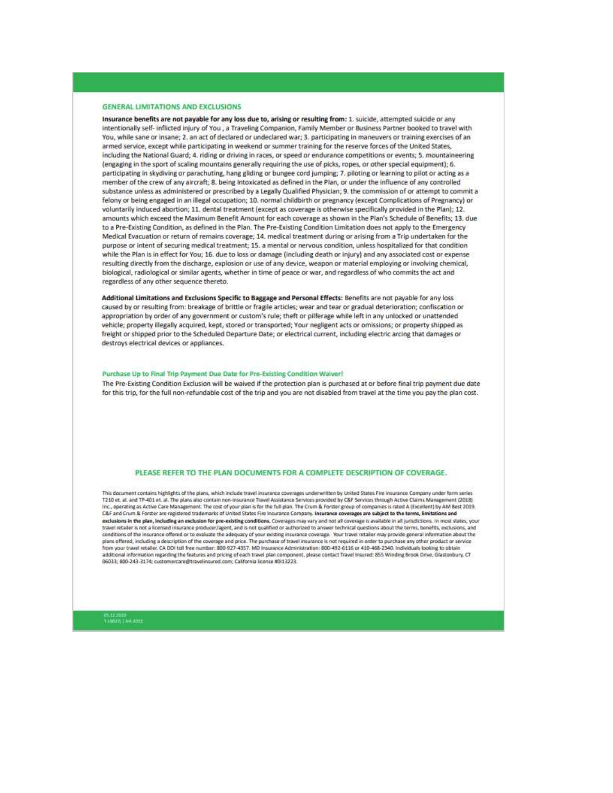#### **GENERAL LIMITATIONS AND EXCLUSIONS**

Insurance benefits are not payable for any loss due to, arising or resulting from: 1. suicide, attempted suicide or any intentionally self- inflicted injury of You, a Traveling Companion, Family Member or Business Partner booked to travel with You, while sane or insane; 2. an act of declared or undeclared war; 3. participating in maneuvers or training exercises of an armed service, except while participating in weekend or summer training for the reserve forces of the United States, including the National Guard; 4. riding or driving in races, or speed or endurance competitions or events; 5. mountaineering (engaging in the sport of scaling mountains generally requiring the use of picks, ropes, or other special equipment); 6. participating in skydiving or parachuting, hang gliding or bungee cord jumping; 7. piloting or learning to pilot or acting as a member of the crew of any aircraft; 8. being Intoxicated as defined in the Plan, or under the influence of any controlled substance unless as administered or prescribed by a Legally Qualified Physician; 9. the commission of or attempt to commit a felony or being engaged in an illegal occupation; 10. normal childbirth or pregnancy (except Complications of Pregnancy) or voluntarily induced abortion; 11. dental treatment (except as coverage is otherwise specifically provided in the Plan); 12. amounts which exceed the Maximum Benefit Amount for each coverage as shown in the Plan's Schedule of Benefits; 13. due to a Pre-Existing Condition, as defined in the Plan. The Pre-Existing Condition Limitation does not apply to the Emergency Medical Evacuation or return of remains coverage; 14. medical treatment during or arising from a Trip undertaken for the purpose or intent of securing medical treatment; 15. a mental or nervous condition, unless hospitalized for that condition while the Plan is in effect for You; 16. due to loss or damage (including death or injury) and any associated cost or expense resulting directly from the discharge, explosion or use of any device, weapon or material employing or involving chemical, biological, radiological or similar agents, whether in time of peace or war, and regardless of who commits the act and regardless of any other sequence thereto.

Additional Limitations and Exclusions Specific to Baggage and Personal Effects: Benefits are not payable for any loss caused by or resulting from: breakage of brittle or fragile articles; wear and tear or gradual deterioration; confiscation or appropriation by order of any government or custom's rule; theft or pilferage while left in any unlocked or unattended vehicle; property illegally acquired, kept, stored or transported; Your negligent acts or omissions; or property shipped as freight or shipped prior to the Scheduled Departure Date; or electrical current, including electric arcing that damages or destroys electrical devices or appliances.

#### Purchase Up to Final Trip Payment Due Date for Pre-Existing Condition Waiver!

The Pre-Existing Condition Exclusion will be waived if the protection plan is purchased at or before final trip payment due date for this trip, for the full non-refundable cost of the trip and you are not disabled from travel at the time you pay the plan cost.

#### PLEASE REFER TO THE PLAN DOCUMENTS FOR A COMPLETE DESCRIPTION OF COVERAGE.

This document contains highlights of the plans, which include travel insurance coverages underwritten by United States Fire Insurance Company under form series T210 et al. and TP-401 et al. The plans also contain non-insurance Travel Assistance Services provided by C&F Services through Active Claims Management (2018) inc., operating as Active Care Management. The cost of your plan is for the full plan. The Crum & Forster group of companies is rated A (Excellent) by AM Best 2019. C&F and Crum & Forster are registered trademarks of United States Fire Insurance Company. Insurance coverages are subject to the terms, limitations and exclusions in the plan, including an exclusion for pre-existing conditions. Coverages may vary and not all coverage is available in all jurisdictions. In most states, your travel retailer is not a licensed insurance producer/apent, and is not qualified or authorized to answer technical questions about the terms, benefits, exclusions, and conditions of the insurance offered or to evaluate the adequacy of your existing insurance coverage. Your travel retailer may provide general information about the plans offered, including a description of the coverage and price. The purchase of travel insurance is not required in order to purchase any other product or service<br>from your travel retailer. CA DOI toll free number: 800-9 additional information regarding the features and pricing of each travel plan component, please contact Travel insured: 855 Winding Brook Drive, Glastonbury, CT<br>06033; 800-243-3174; customercare@travelinsured.com; Californ

09.12.2000<br>1.20022||AH-2015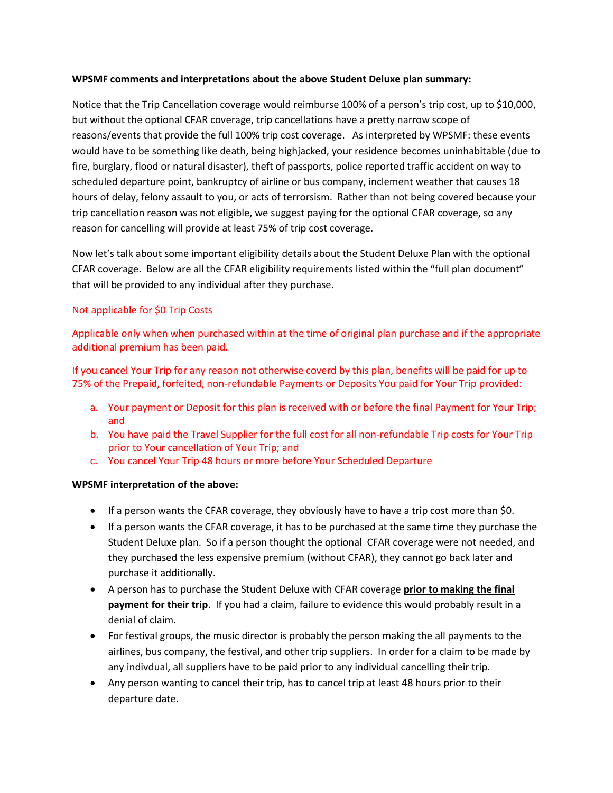### **WPSMF comments and interpretations about the above Student Deluxe plan summary:**

Notice that the Trip Cancellation coverage would reimburse 100% of a person's trip cost, up to \$10,000, but without the optional CFAR coverage, trip cancellations have a pretty narrow scope of reasons/events that provide the full 100% trip cost coverage. As interpreted by WPSMF: these events would have to be something like death, being highjacked, your residence becomes uninhabitable (due to fire, burglary, flood or natural disaster), theft of passports, police reported traffic accident on way to scheduled departure point, bankruptcy of airline or bus company, inclement weather that causes 18 hours of delay, felony assault to you, or acts of terrorsism. Rather than not being covered because your trip cancellation reason was not eligible, we suggest paying for the optional CFAR coverage, so any reason for cancelling will provide at least 75% of trip cost coverage.

Now let's talk about some important eligibility details about the Student Deluxe Plan with the optional CFAR coverage. Below are all the CFAR eligibility requirements listed within the "full plan document" that will be provided to any individual after they purchase.

## Not applicable for \$0 Trip Costs

Applicable only when when purchased within at the time of original plan purchase and if the appropriate additional premium has been paid.

If you cancel Your Trip for any reason not otherwise coverd by this plan, benefits will be paid for up to 75% of the Prepaid, forfeited, non-refundable Payments or Deposits You paid for Your Trip provided:

- a. Your payment or Deposit for this plan is received with or before the final Payment for Your Trip; and
- b. You have paid the Travel Supplier for the full cost for all non-refundable Trip costs for Your Trip prior to Your cancellation of Your Trip; and
- c. You cancel Your Trip 48 hours or more before Your Scheduled Departure

## **WPSMF interpretation of the above:**

- If a person wants the CFAR coverage, they obviously have to have a trip cost more than \$0.
- If a person wants the CFAR coverage, it has to be purchased at the same time they purchase the Student Deluxe plan. So if a person thought the optional CFAR coverage were not needed, and they purchased the less expensive premium (without CFAR), they cannot go back later and purchase it additionally.
- A person has to purchase the Student Deluxe with CFAR coverage **prior to making the final payment for their trip**. If you had a claim, failure to evidence this would probably result in a denial of claim.
- For festival groups, the music director is probably the person making the all payments to the airlines, bus company, the festival, and other trip suppliers. In order for a claim to be made by any indivdual, all suppliers have to be paid prior to any individual cancelling their trip.
- Any person wanting to cancel their trip, has to cancel trip at least 48 hours prior to their departure date.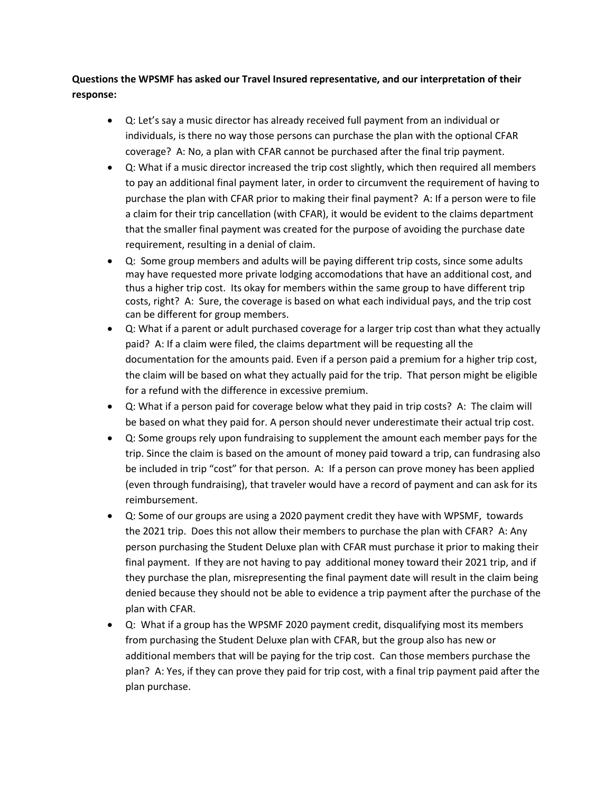## **Questions the WPSMF has asked our Travel Insured representative, and our interpretation of their response:**

- Q: Let's say a music director has already received full payment from an individual or individuals, is there no way those persons can purchase the plan with the optional CFAR coverage? A: No, a plan with CFAR cannot be purchased after the final trip payment.
- Q: What if a music director increased the trip cost slightly, which then required all members to pay an additional final payment later, in order to circumvent the requirement of having to purchase the plan with CFAR prior to making their final payment? A: If a person were to file a claim for their trip cancellation (with CFAR), it would be evident to the claims department that the smaller final payment was created for the purpose of avoiding the purchase date requirement, resulting in a denial of claim.
- Q: Some group members and adults will be paying different trip costs, since some adults may have requested more private lodging accomodations that have an additional cost, and thus a higher trip cost. Its okay for members within the same group to have different trip costs, right? A: Sure, the coverage is based on what each individual pays, and the trip cost can be different for group members.
- Q: What if a parent or adult purchased coverage for a larger trip cost than what they actually paid? A: If a claim were filed, the claims department will be requesting all the documentation for the amounts paid. Even if a person paid a premium for a higher trip cost, the claim will be based on what they actually paid for the trip. That person might be eligible for a refund with the difference in excessive premium.
- Q: What if a person paid for coverage below what they paid in trip costs? A: The claim will be based on what they paid for. A person should never underestimate their actual trip cost.
- Q: Some groups rely upon fundraising to supplement the amount each member pays for the trip. Since the claim is based on the amount of money paid toward a trip, can fundrasing also be included in trip "cost" for that person. A: If a person can prove money has been applied (even through fundraising), that traveler would have a record of payment and can ask for its reimbursement.
- Q: Some of our groups are using a 2020 payment credit they have with WPSMF, towards the 2021 trip. Does this not allow their members to purchase the plan with CFAR? A: Any person purchasing the Student Deluxe plan with CFAR must purchase it prior to making their final payment. If they are not having to pay additional money toward their 2021 trip, and if they purchase the plan, misrepresenting the final payment date will result in the claim being denied because they should not be able to evidence a trip payment after the purchase of the plan with CFAR.
- Q: What if a group has the WPSMF 2020 payment credit, disqualifying most its members from purchasing the Student Deluxe plan with CFAR, but the group also has new or additional members that will be paying for the trip cost. Can those members purchase the plan? A: Yes, if they can prove they paid for trip cost, with a final trip payment paid after the plan purchase.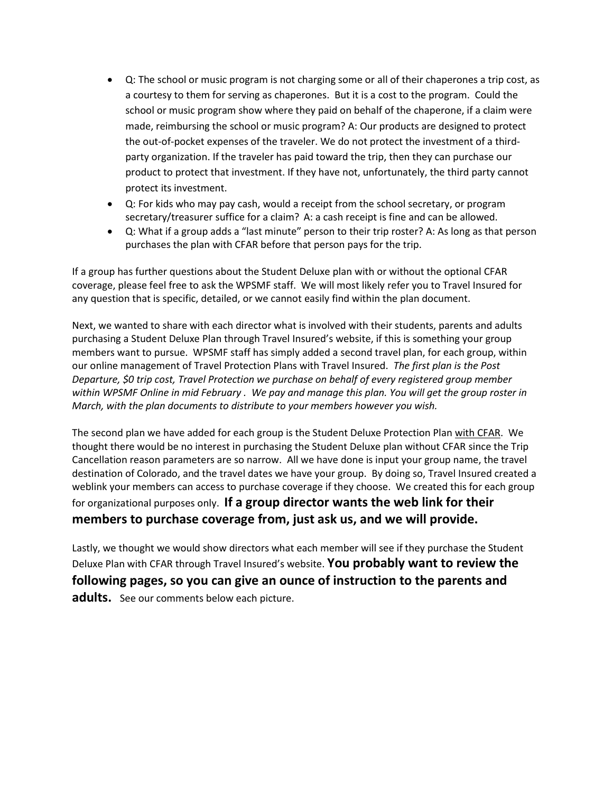- Q: The school or music program is not charging some or all of their chaperones a trip cost, as a courtesy to them for serving as chaperones. But it is a cost to the program. Could the school or music program show where they paid on behalf of the chaperone, if a claim were made, reimbursing the school or music program? A: Our products are designed to protect the out-of-pocket expenses of the traveler. We do not protect the investment of a thirdparty organization. If the traveler has paid toward the trip, then they can purchase our product to protect that investment. If they have not, unfortunately, the third party cannot protect its investment.
- Q: For kids who may pay cash, would a receipt from the school secretary, or program secretary/treasurer suffice for a claim? A: a cash receipt is fine and can be allowed.
- Q: What if a group adds a "last minute" person to their trip roster? A: As long as that person purchases the plan with CFAR before that person pays for the trip.

If a group has further questions about the Student Deluxe plan with or without the optional CFAR coverage, please feel free to ask the WPSMF staff. We will most likely refer you to Travel Insured for any question that is specific, detailed, or we cannot easily find within the plan document.

Next, we wanted to share with each director what is involved with their students, parents and adults purchasing a Student Deluxe Plan through Travel Insured's website, if this is something your group members want to pursue. WPSMF staff has simply added a second travel plan, for each group, within our online management of Travel Protection Plans with Travel Insured. *The first plan is the Post Departure, \$0 trip cost, Travel Protection we purchase on behalf of every registered group member within WPSMF Online in mid February . We pay and manage this plan. You will get the group roster in March, with the plan documents to distribute to your members however you wish.*

The second plan we have added for each group is the Student Deluxe Protection Plan with CFAR. We thought there would be no interest in purchasing the Student Deluxe plan without CFAR since the Trip Cancellation reason parameters are so narrow. All we have done is input your group name, the travel destination of Colorado, and the travel dates we have your group. By doing so, Travel Insured created a weblink your members can access to purchase coverage if they choose. We created this for each group for organizational purposes only. **If a group director wants the web link for their members to purchase coverage from, just ask us, and we will provide.** 

Lastly, we thought we would show directors what each member will see if they purchase the Student Deluxe Plan with CFAR through Travel Insured's website. **You probably want to review the following pages, so you can give an ounce of instruction to the parents and adults.** See our comments below each picture.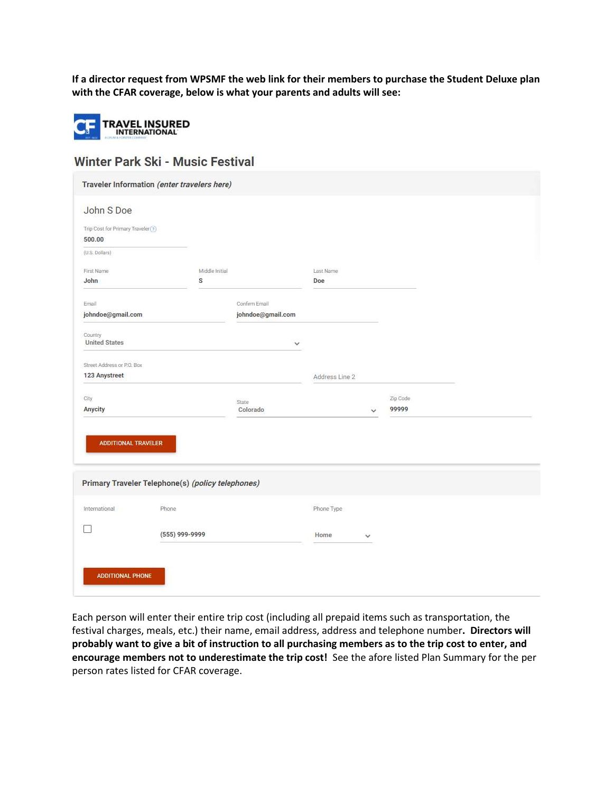**If a director request from WPSMF the web link for their members to purchase the Student Deluxe plan with the CFAR coverage, below is what your parents and adults will see:**



# Winter Park Ski - Music Festival

| Traveler Information (enter travelers here)       |                   |                |                   |  |
|---------------------------------------------------|-------------------|----------------|-------------------|--|
| John S Doe                                        |                   |                |                   |  |
| Trip Cost for Primary Traveler (?)                |                   |                |                   |  |
| 500.00                                            |                   |                |                   |  |
| (U.S. Dollars)                                    |                   |                |                   |  |
| First Name                                        | Middle Initial    | Last Name      |                   |  |
| John                                              | S                 | Doe            |                   |  |
| Email                                             | Confirm Email     |                |                   |  |
| johndoe@gmail.com                                 | johndoe@gmail.com |                |                   |  |
| Country                                           |                   |                |                   |  |
| <b>United States</b>                              |                   | $\checkmark$   |                   |  |
| Street Address or P.O. Box                        |                   |                |                   |  |
| 123 Anystreet                                     |                   | Address Line 2 |                   |  |
|                                                   |                   |                |                   |  |
| City<br>Anycity                                   | State<br>Colorado | $\checkmark$   | Zip Code<br>99999 |  |
| ADDITIONAL TRAVELER                               |                   |                |                   |  |
| Primary Traveler Telephone(s) (policy telephones) |                   |                |                   |  |
| Phone<br>International                            |                   | Phone Type     |                   |  |
|                                                   | (555) 999-9999    | Home<br>v      |                   |  |
|                                                   |                   |                |                   |  |
| <b>ADDITIONAL PHONE</b>                           |                   |                |                   |  |

Each person will enter their entire trip cost (including all prepaid items such as transportation, the festival charges, meals, etc.) their name, email address, address and telephone number**. Directors will probably want to give a bit of instruction to all purchasing members as to the trip cost to enter, and encourage members not to underestimate the trip cost!** See the afore listed Plan Summary for the per person rates listed for CFAR coverage.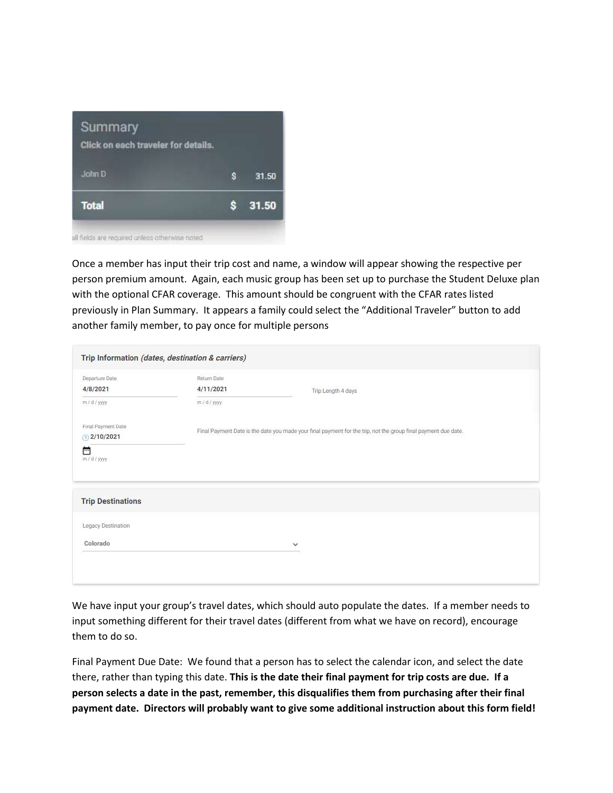

Once a member has input their trip cost and name, a window will appear showing the respective per person premium amount. Again, each music group has been set up to purchase the Student Deluxe plan with the optional CFAR coverage. This amount should be congruent with the CFAR rates listed previously in Plan Summary. It appears a family could select the "Additional Traveler" button to add another family member, to pay once for multiple persons

| Trip Information (dates, destination & carriers)       |                                          |                                                                                                                |
|--------------------------------------------------------|------------------------------------------|----------------------------------------------------------------------------------------------------------------|
| Departure Date<br>4/8/2021<br>m/d/yyyy                 | Return Date<br>4/11/2021<br>$m/d$ / yyyy | Trip Length 4 days                                                                                             |
| Final Payment Date<br>$(7)$ 2/10/2021<br>岜<br>m/d/yyyy |                                          | Final Payment Date is the date you made your final payment for the trip, not the group final payment due date. |
| <b>Trip Destinations</b>                               |                                          |                                                                                                                |
| Legacy Destination                                     |                                          |                                                                                                                |
| Colorado                                               |                                          | $\checkmark$                                                                                                   |

We have input your group's travel dates, which should auto populate the dates. If a member needs to input something different for their travel dates (different from what we have on record), encourage them to do so.

Final Payment Due Date: We found that a person has to select the calendar icon, and select the date there, rather than typing this date. **This is the date their final payment for trip costs are due. If a person selects a date in the past, remember, this disqualifies them from purchasing after their final payment date. Directors will probably want to give some additional instruction about this form field!**